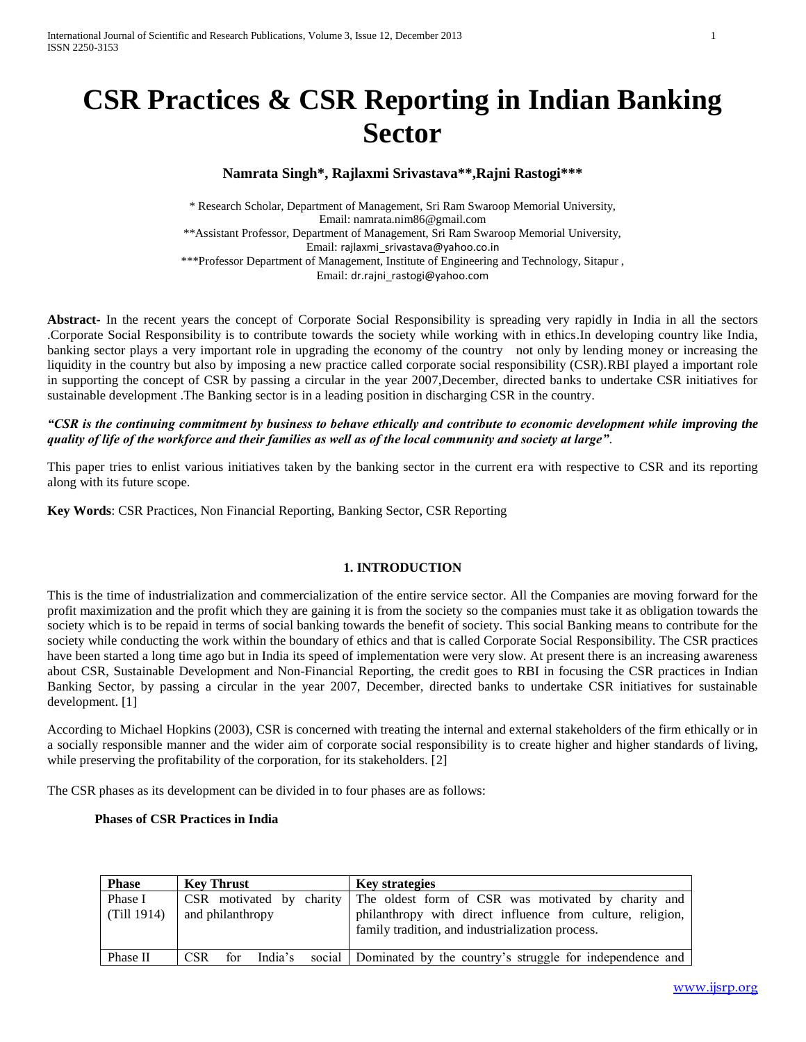# **CSR Practices & CSR Reporting in Indian Banking Sector**

# **Namrata Singh\*, Rajlaxmi Srivastava\*\*,Rajni Rastogi\*\*\***

\* Research Scholar, Department of Management, Sri Ram Swaroop Memorial University, Email: namrata.nim86@gmail.com \*\*Assistant Professor, Department of Management, Sri Ram Swaroop Memorial University, Email: [rajlaxmi\\_srivastava@yahoo.co.in](mailto:rajlaxmi_srivastava@yahoo.co.in) \*\*\*Professor Department of Management, Institute of Engineering and Technology, Sitapur , Email: [dr.rajni\\_rastogi@yahoo.com](mailto:dr.rajni_rastogi@yahoo.com)

**Abstract-** In the recent years the concept of Corporate Social Responsibility is spreading very rapidly in India in all the sectors .Corporate Social Responsibility is to contribute towards the society while working with in ethics.In developing country like India, banking sector plays a very important role in upgrading the economy of the country not only by lending money or increasing the liquidity in the country but also by imposing a new practice called corporate social responsibility (CSR).RBI played a important role in supporting the concept of CSR by passing a circular in the year 2007,December, directed banks to undertake CSR initiatives for sustainable development .The Banking sector is in a leading position in discharging CSR in the country.

#### *"CSR is the continuing commitment by business to behave ethically and contribute to economic development while improving the quality of life of the workforce and their families as well as of the local community and society at large".*

This paper tries to enlist various initiatives taken by the banking sector in the current era with respective to CSR and its reporting along with its future scope.

**Key Words**: CSR Practices, Non Financial Reporting, Banking Sector, CSR Reporting

# **1. INTRODUCTION**

This is the time of industrialization and commercialization of the entire service sector. All the Companies are moving forward for the profit maximization and the profit which they are gaining it is from the society so the companies must take it as obligation towards the society which is to be repaid in terms of social banking towards the benefit of society. This social Banking means to contribute for the society while conducting the work within the boundary of ethics and that is called Corporate Social Responsibility. The CSR practices have been started a long time ago but in India its speed of implementation were very slow. At present there is an increasing awareness about CSR, Sustainable Development and Non-Financial Reporting, the credit goes to RBI in focusing the CSR practices in Indian Banking Sector, by passing a circular in the year 2007, December, directed banks to undertake CSR initiatives for sustainable development. [1]

According to Michael Hopkins (2003), CSR is concerned with treating the internal and external stakeholders of the firm ethically or in a socially responsible manner and the wider aim of corporate social responsibility is to create higher and higher standards of living, while preserving the profitability of the corporation, for its stakeholders. [2]

The CSR phases as its development can be divided in to four phases are as follows:

#### **Phases of CSR Practices in India**

| <b>Phase</b>           | <b>Key Thrust</b>                              | <b>Key strategies</b>                                                                                                                                                 |
|------------------------|------------------------------------------------|-----------------------------------------------------------------------------------------------------------------------------------------------------------------------|
| Phase I<br>(Till 1914) | $CSR$ motivated by charity<br>and philanthropy | The oldest form of CSR was motivated by charity and<br>philanthropy with direct influence from culture, religion,<br>family tradition, and industrialization process. |
| Phase II               | India's<br>CSR <sup>-</sup><br>for             | social Dominated by the country's struggle for independence and                                                                                                       |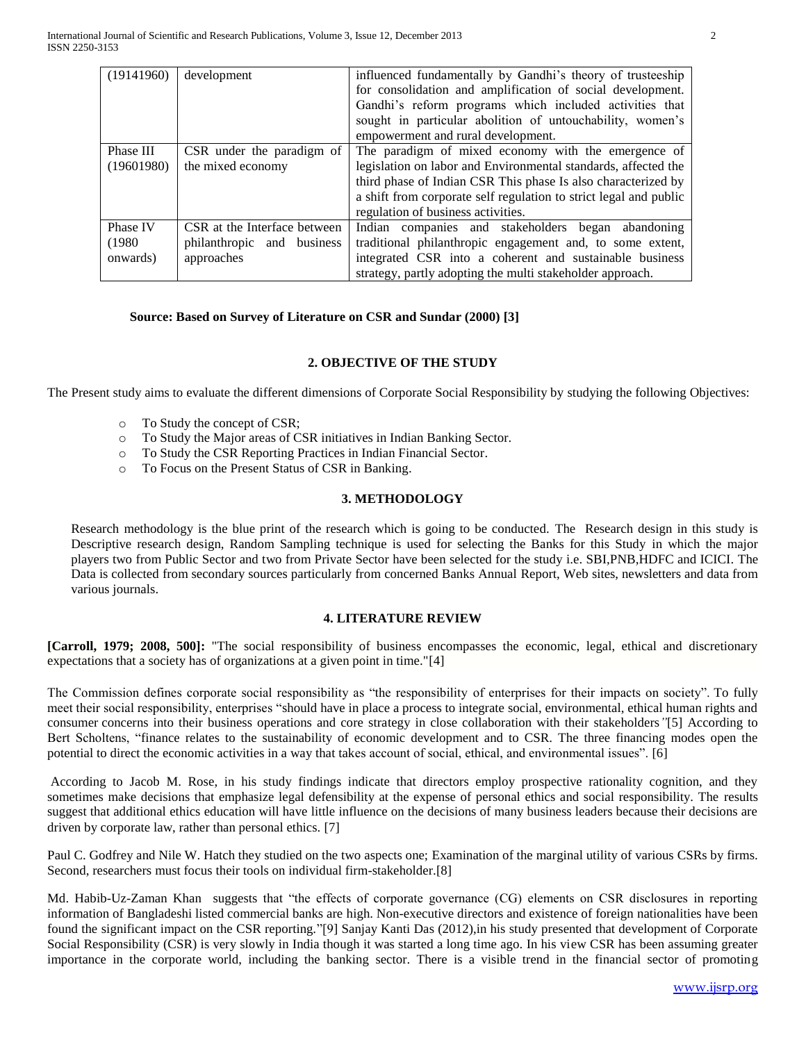| (19141960) | development                  | influenced fundamentally by Gandhi's theory of trusteeship        |
|------------|------------------------------|-------------------------------------------------------------------|
|            |                              | for consolidation and amplification of social development.        |
|            |                              | Gandhi's reform programs which included activities that           |
|            |                              | sought in particular abolition of untouchability, women's         |
|            |                              | empowerment and rural development.                                |
| Phase III  | CSR under the paradigm of    | The paradigm of mixed economy with the emergence of               |
| (19601980) | the mixed economy            | legislation on labor and Environmental standards, affected the    |
|            |                              | third phase of Indian CSR This phase Is also characterized by     |
|            |                              | a shift from corporate self regulation to strict legal and public |
|            |                              | regulation of business activities.                                |
| Phase IV   | CSR at the Interface between | Indian companies and stakeholders began abandoning                |
| (1980)     | philanthropic and business   | traditional philanthropic engagement and, to some extent,         |
| onwards)   | approaches                   | integrated CSR into a coherent and sustainable business           |
|            |                              | strategy, partly adopting the multi stakeholder approach.         |

#### **Source: Based on Survey of Literature on CSR and Sundar (2000) [3]**

# **2. OBJECTIVE OF THE STUDY**

The Present study aims to evaluate the different dimensions of Corporate Social Responsibility by studying the following Objectives:

- o To Study the concept of CSR;
- o To Study the Major areas of CSR initiatives in Indian Banking Sector.
- o To Study the CSR Reporting Practices in Indian Financial Sector.
- To Focus on the Present Status of CSR in Banking.

# **3. METHODOLOGY**

Research methodology is the blue print of the research which is going to be conducted. The Research design in this study is Descriptive research design, Random Sampling technique is used for selecting the Banks for this Study in which the major players two from Public Sector and two from Private Sector have been selected for the study i.e. SBI,PNB,HDFC and ICICI. The Data is collected from secondary sources particularly from concerned Banks Annual Report, Web sites, newsletters and data from various journals.

#### **4. LITERATURE REVIEW**

**[Carroll, 1979; 2008, 500]:** "The social responsibility of business encompasses the economic, legal, ethical and discretionary expectations that a society has of organizations at a given point in time."[4]

The Commission defines corporate social responsibility as "the responsibility of enterprises for their impacts on society". To fully meet their social responsibility, enterprises "should have in place a process to integrate social, environmental, ethical human rights and consumer concerns into their business operations and core strategy in close collaboration with their stakeholders*"*[5] According to Bert Scholtens, "finance relates to the sustainability of economic development and to CSR. The three financing modes open the potential to direct the economic activities in a way that takes account of social, ethical, and environmental issues". [6]

According to Jacob M. Rose, in his study findings indicate that directors employ prospective rationality cognition, and they sometimes make decisions that emphasize legal defensibility at the expense of personal ethics and social responsibility. The results suggest that additional ethics education will have little influence on the decisions of many business leaders because their decisions are driven by corporate law, rather than personal ethics. [7]

Paul C. Godfrey and Nile W. Hatch they studied on the two aspects one; Examination of the marginal utility of various CSRs by firms. Second, researchers must focus their tools on individual firm-stakeholder.[8]

[Md. Habib-Uz-Zaman Khan](http://www.emeraldinsight.com/search.htm?ct=all&st1=Md.+Habib-Uz-Zaman+Khan&fd1=aut) suggests that "the effects of corporate governance (CG) elements on CSR disclosures in reporting information of Bangladeshi listed commercial banks are high. Non-executive directors and existence of foreign nationalities have been found the significant impact on the CSR reporting."[9] Sanjay Kanti Das (2012),in his study presented that development of Corporate Social Responsibility (CSR) is very slowly in India though it was started a long time ago. In his view CSR has been assuming greater importance in the corporate world, including the banking sector. There is a visible trend in the financial sector of promoting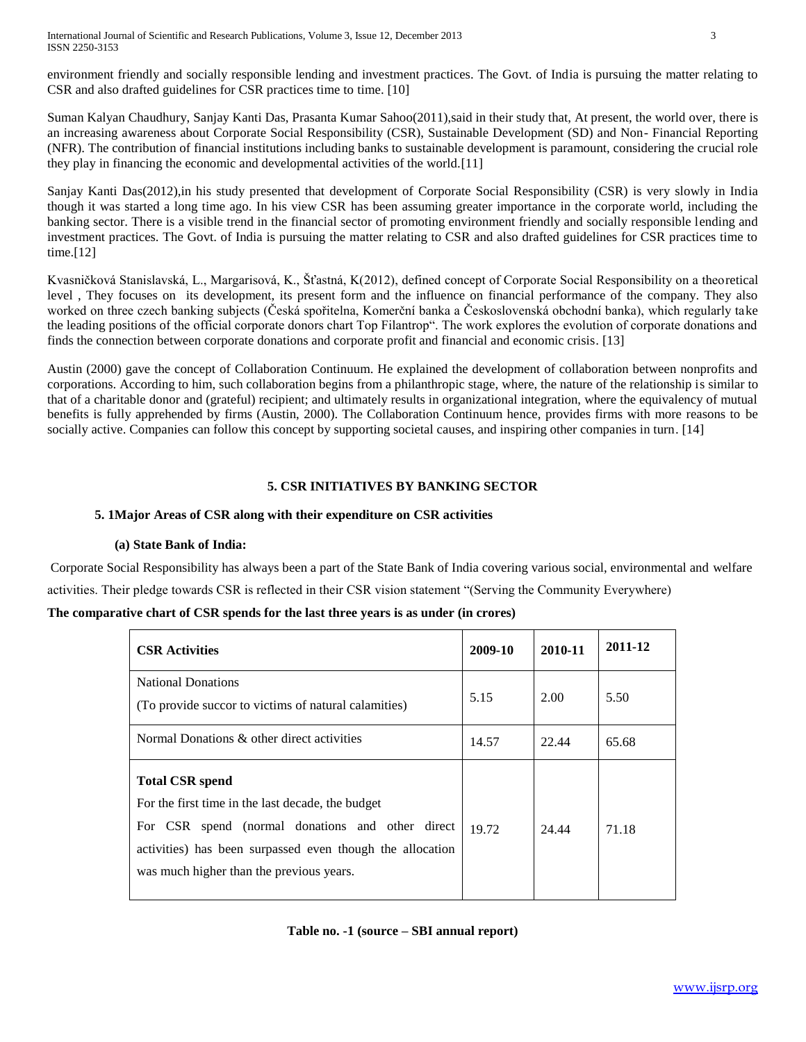International Journal of Scientific and Research Publications, Volume 3, Issue 12, December 2013 3 ISSN 2250-3153

environment friendly and socially responsible lending and investment practices. The Govt. of India is pursuing the matter relating to CSR and also drafted guidelines for CSR practices time to time. [10]

Suman Kalyan Chaudhury, Sanjay Kanti Das, Prasanta Kumar Sahoo(2011),said in their study that, At present, the world over, there is an increasing awareness about Corporate Social Responsibility (CSR), Sustainable Development (SD) and Non- Financial Reporting (NFR). The contribution of financial institutions including banks to sustainable development is paramount, considering the crucial role they play in financing the economic and developmental activities of the world.[11]

Sanjay Kanti Das(2012),in his study presented that development of Corporate Social Responsibility (CSR) is very slowly in India though it was started a long time ago. In his view CSR has been assuming greater importance in the corporate world, including the banking sector. There is a visible trend in the financial sector of promoting environment friendly and socially responsible lending and investment practices. The Govt. of India is pursuing the matter relating to CSR and also drafted guidelines for CSR practices time to time.[12]

Kvasničková Stanislavská, L., Margarisová, K., Šťastná, K(2012), defined concept of Corporate Social Responsibility on a theoretical level , They focuses on its development, its present form and the influence on financial performance of the company. They also worked on three czech banking subjects (Česká spořitelna, Komerční banka a Československá obchodní banka), which regularly take the leading positions of the official corporate donors chart Top Filantrop". The work explores the evolution of corporate donations and finds the connection between corporate donations and corporate profit and financial and economic crisis. [13]

Austin (2000) gave the concept of Collaboration Continuum. He explained the development of collaboration between nonprofits and corporations. According to him, such collaboration begins from a philanthropic stage, where, the nature of the relationship is similar to that of a charitable donor and (grateful) recipient; and ultimately results in organizational integration, where the equivalency of mutual benefits is fully apprehended by firms (Austin, 2000). The Collaboration Continuum hence, provides firms with more reasons to be socially active. Companies can follow this concept by supporting societal causes, and inspiring other companies in turn. [14]

#### **5. CSR INITIATIVES BY BANKING SECTOR**

#### **5. 1Major Areas of CSR along with their expenditure on CSR activities**

#### **(a) State Bank of India:**

Corporate Social Responsibility has always been a part of the State Bank of India covering various social, environmental and welfare activities. Their pledge towards CSR is reflected in their CSR vision statement "(Serving the Community Everywhere)

### **The comparative chart of CSR spends for the last three years is as under (in crores)**

| <b>CSR Activities</b>                                                                                                                                                                                                                    | 2009-10 | 2010-11 | 2011-12 |
|------------------------------------------------------------------------------------------------------------------------------------------------------------------------------------------------------------------------------------------|---------|---------|---------|
| <b>National Donations</b><br>(To provide succor to victims of natural calamities)                                                                                                                                                        | 5.15    | 2.00    | 5.50    |
| Normal Donations & other direct activities                                                                                                                                                                                               | 14.57   | 22.44   | 65.68   |
| <b>Total CSR spend</b><br>For the first time in the last decade, the budget<br>For CSR spend (normal donations and other direct<br>activities) has been surpassed even though the allocation<br>was much higher than the previous years. | 19.72   | 24.44   | 71.18   |

#### **Table no. -1 (source – SBI annual report)**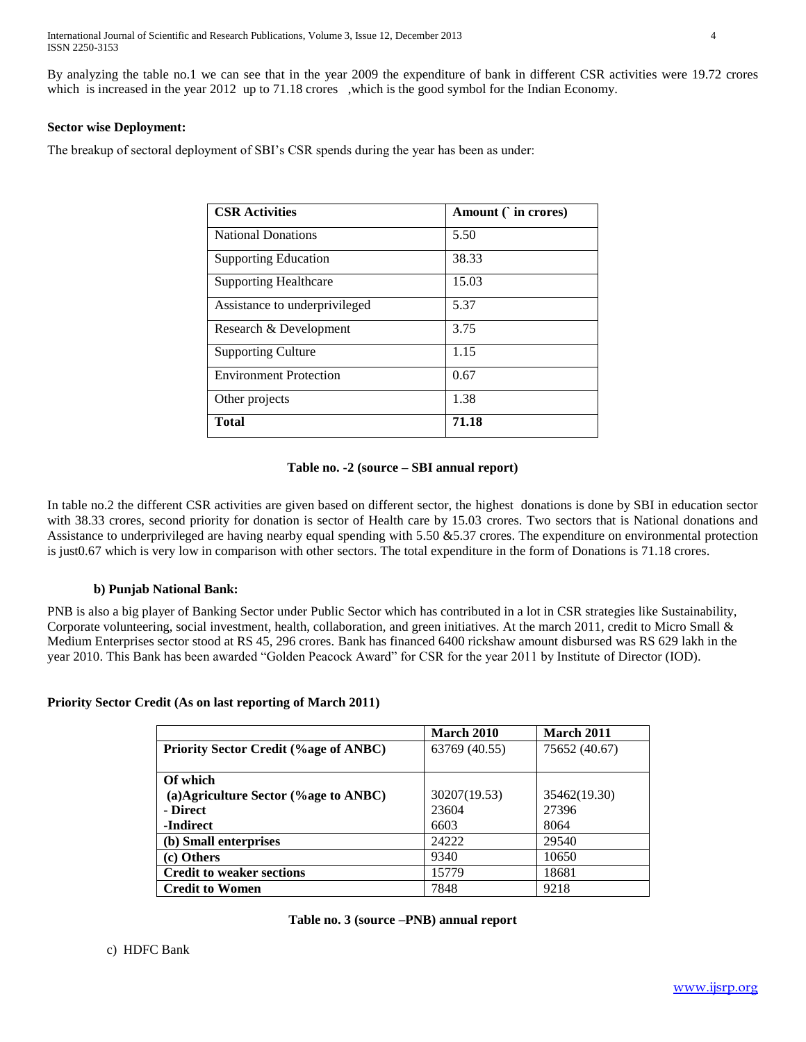International Journal of Scientific and Research Publications, Volume 3, Issue 12, December 2013 4 ISSN 2250-3153

By analyzing the table no.1 we can see that in the year 2009 the expenditure of bank in different CSR activities were 19.72 crores which is increased in the year 2012 up to 71.18 crores ,which is the good symbol for the Indian Economy.

#### **Sector wise Deployment:**

The breakup of sectoral deployment of SBI's CSR spends during the year has been as under:

| <b>CSR Activities</b>         | Amount $($ in crores) |
|-------------------------------|-----------------------|
| <b>National Donations</b>     | 5.50                  |
| <b>Supporting Education</b>   | 38.33                 |
| <b>Supporting Healthcare</b>  | 15.03                 |
| Assistance to underprivileged | 5.37                  |
| Research & Development        | 3.75                  |
| <b>Supporting Culture</b>     | 1.15                  |
| <b>Environment Protection</b> | 0.67                  |
| Other projects                | 1.38                  |
| Total                         | 71.18                 |

#### **Table no. -2 (source – SBI annual report)**

In table no.2 the different CSR activities are given based on different sector, the highest donations is done by SBI in education sector with 38.33 crores, second priority for donation is sector of Health care by 15.03 crores. Two sectors that is National donations and Assistance to underprivileged are having nearby equal spending with 5.50 &5.37 crores. The expenditure on environmental protection is just0.67 which is very low in comparison with other sectors. The total expenditure in the form of Donations is 71.18 crores.

#### **b) Punjab National Bank:**

PNB is also a big player of Banking Sector under Public Sector which has contributed in a lot in CSR strategies like Sustainability, Corporate volunteering, social investment, health, collaboration, and green initiatives. At the march 2011, credit to Micro Small & Medium Enterprises sector stood at RS 45, 296 crores. Bank has financed 6400 rickshaw amount disbursed was RS 629 lakh in the year 2010. This Bank has been awarded "Golden Peacock Award" for CSR for the year 2011 by Institute of Director (IOD).

#### **Priority Sector Credit (As on last reporting of March 2011)**

|                                              | <b>March 2010</b> | March 2011    |
|----------------------------------------------|-------------------|---------------|
| <b>Priority Sector Credit (%age of ANBC)</b> | 63769 (40.55)     | 75652 (40.67) |
| Of which                                     |                   |               |
| (a)Agriculture Sector $(\%$ age to ANBC)     | 30207(19.53)      | 35462(19.30)  |
| - Direct                                     | 23604             | 27396         |
| -Indirect                                    | 6603              | 8064          |
| (b) Small enterprises                        | 24222             | 29540         |
| (c) Others                                   | 9340              | 10650         |
| <b>Credit to weaker sections</b>             | 15779             | 18681         |
| <b>Credit to Women</b>                       | 7848              | 9218          |

|  | Table no. 3 (source -PNB) annual report |  |  |
|--|-----------------------------------------|--|--|
|--|-----------------------------------------|--|--|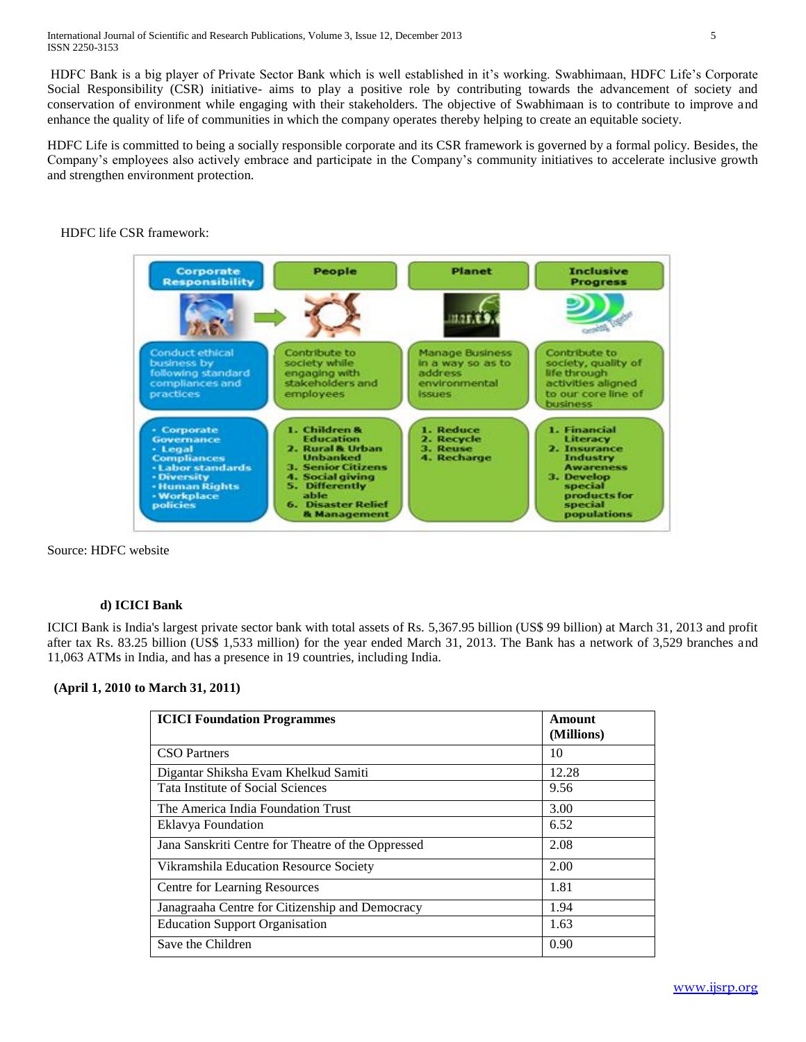HDFC Bank is a big player of Private Sector Bank which is well established in it's working. Swabhimaan, HDFC Life's Corporate Social Responsibility (CSR) initiative- aims to play a positive role by contributing towards the advancement of society and conservation of environment while engaging with their stakeholders. The objective of Swabhimaan is to contribute to improve and enhance the quality of life of communities in which the company operates thereby helping to create an equitable society.

HDFC Life is committed to being a socially responsible corporate and its CSR framework is governed by a formal policy. Besides, the Company's employees also actively embrace and participate in the Company's community initiatives to accelerate inclusive growth and strengthen environment protection.

# HDFC life CSR framework:



Source: HDFC website

# **d) ICICI Bank**

ICICI Bank is India's largest private sector bank with total assets of Rs. 5,367.95 billion (US\$ 99 billion) at March 31, 2013 and profit after tax Rs. 83.25 billion (US\$ 1,533 million) for the year ended March 31, 2013. The Bank has a network of 3,529 branches and 11,063 ATMs in India, and has a presence in 19 countries, including India.

#### **(April 1, 2010 to March 31, 2011)**

| <b>ICICI Foundation Programmes</b>                 | Amount<br>(Millions) |  |
|----------------------------------------------------|----------------------|--|
| <b>CSO</b> Partners                                | 10                   |  |
| Digantar Shiksha Evam Khelkud Samiti               | 12.28                |  |
| Tata Institute of Social Sciences                  | 9.56                 |  |
| The America India Foundation Trust                 | 3.00                 |  |
| Eklavya Foundation                                 | 6.52                 |  |
| Jana Sanskriti Centre for Theatre of the Oppressed | 2.08                 |  |
| Vikramshila Education Resource Society             | 2.00                 |  |
| Centre for Learning Resources                      | 1.81                 |  |
| Janagraaha Centre for Citizenship and Democracy    | 1.94                 |  |
| <b>Education Support Organisation</b>              | 1.63                 |  |
| Save the Children                                  | 0.90                 |  |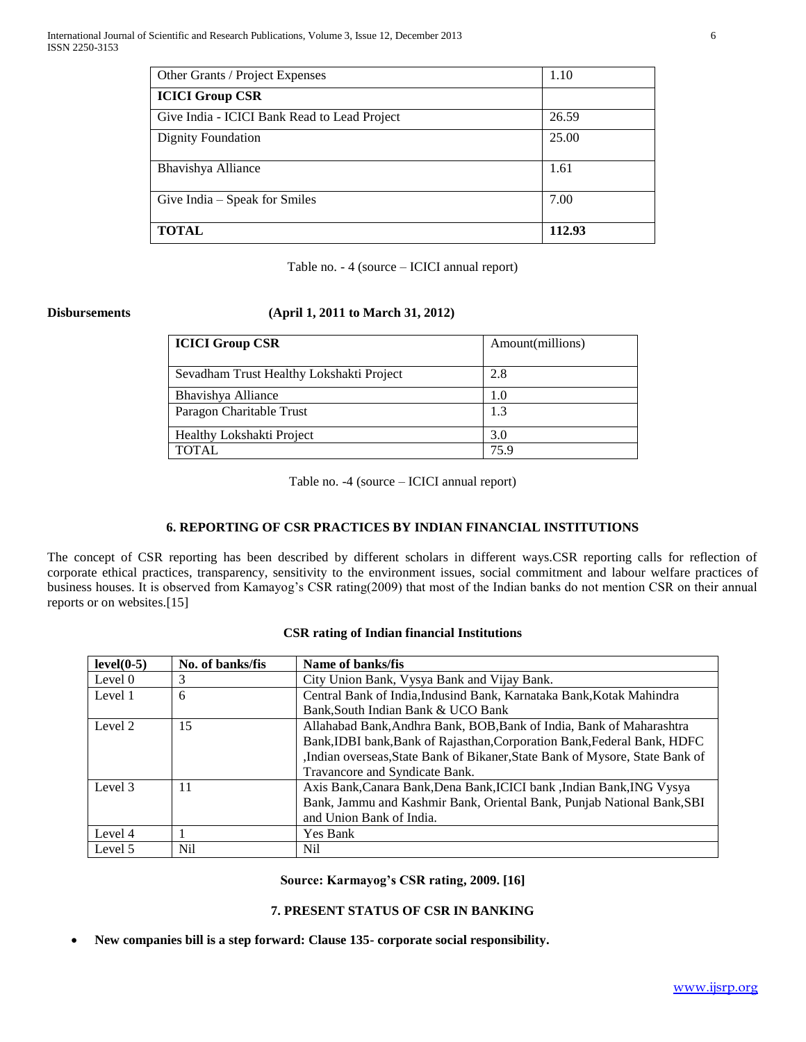| Other Grants / Project Expenses              | 1.10   |
|----------------------------------------------|--------|
| <b>ICICI Group CSR</b>                       |        |
| Give India - ICICI Bank Read to Lead Project | 26.59  |
| <b>Dignity Foundation</b>                    | 25.00  |
| Bhavishya Alliance                           | 1.61   |
| Give India - Speak for Smiles                | 7.00   |
| <b>TOTAL</b>                                 | 112.93 |

| Table no. - 4 (source – ICICI annual report) |  |  |  |
|----------------------------------------------|--|--|--|
|----------------------------------------------|--|--|--|

# **Disbursements (April 1, 2011 to March 31, 2012)**

| <b>ICICI Group CSR</b>                   | Amount(millions) |
|------------------------------------------|------------------|
| Sevadham Trust Healthy Lokshakti Project | 2.8              |
| Bhavishya Alliance                       | 1.0              |
| Paragon Charitable Trust                 | 1.3              |
| Healthy Lokshakti Project                | 3.0              |
| <b>TOTAL</b>                             | 75.9             |

Table no. -4 (source – ICICI annual report)

# **6. REPORTING OF CSR PRACTICES BY INDIAN FINANCIAL INSTITUTIONS**

The concept of CSR reporting has been described by different scholars in different ways.CSR reporting calls for reflection of corporate ethical practices, transparency, sensitivity to the environment issues, social commitment and labour welfare practices of business houses. It is observed from Kamayog's CSR rating(2009) that most of the Indian banks do not mention CSR on their annual reports or on websites.[15]

# **CSR rating of Indian financial Institutions**

| $level(0-5)$ | No. of banks/fis | Name of banks/fis                                                                                                                                                                                                                                                |
|--------------|------------------|------------------------------------------------------------------------------------------------------------------------------------------------------------------------------------------------------------------------------------------------------------------|
| Level 0      | 3                | City Union Bank, Vysya Bank and Vijay Bank.                                                                                                                                                                                                                      |
| Level 1      | 6                | Central Bank of India, Indusind Bank, Karnataka Bank, Kotak Mahindra                                                                                                                                                                                             |
|              |                  | Bank, South Indian Bank & UCO Bank                                                                                                                                                                                                                               |
| Level 2      | 15               | Allahabad Bank, Andhra Bank, BOB, Bank of India, Bank of Maharashtra<br>Bank, IDBI bank, Bank of Rajasthan, Corporation Bank, Federal Bank, HDFC<br>,Indian overseas,State Bank of Bikaner,State Bank of Mysore, State Bank of<br>Travancore and Syndicate Bank. |
| Level 3      | 11               | Axis Bank, Canara Bank, Dena Bank, ICICI bank, Indian Bank, ING Vysya<br>Bank, Jammu and Kashmir Bank, Oriental Bank, Punjab National Bank, SBI<br>and Union Bank of India.                                                                                      |
| Level 4      |                  | Yes Bank                                                                                                                                                                                                                                                         |
| Level 5      | Nil              | Nil                                                                                                                                                                                                                                                              |

**Source: Karmayog's CSR rating, 2009. [16]**

### **7. PRESENT STATUS OF CSR IN BANKING**

**New companies bill is a step forward: Clause 135- corporate social responsibility.**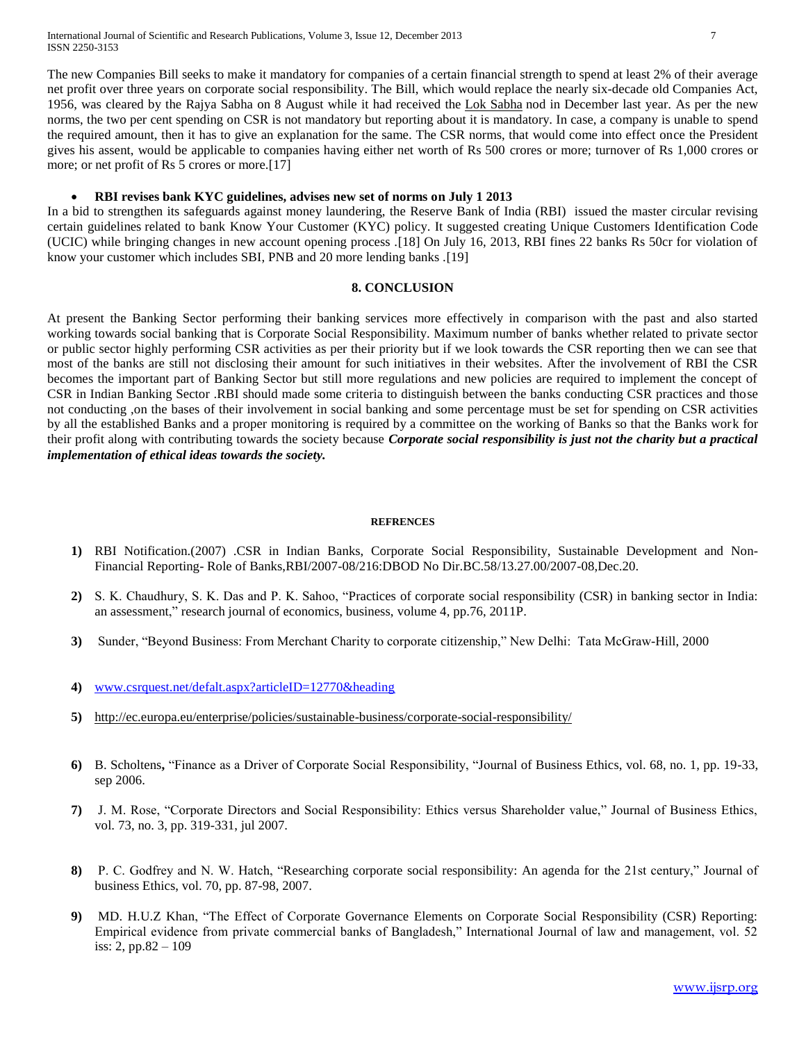International Journal of Scientific and Research Publications, Volume 3, Issue 12, December 2013 7 ISSN 2250-3153

The new Companies Bill seeks to make it mandatory for companies of a certain financial strength to spend at least 2% of their average net profit over three years on corporate social responsibility. The Bill, which would replace the nearly six-decade old Companies Act, 1956, was cleared by the Rajya Sabha on 8 August while it had received the [Lok Sabha](http://economictimes.indiatimes.com/topic/Lok%20Sabha) nod in December last year. As per the new norms, the two per cent spending on CSR is not mandatory but reporting about it is mandatory. In case, a company is unable to spend the required amount, then it has to give an explanation for the same. The CSR norms, that would come into effect once the President gives his assent, would be applicable to companies having either net worth of Rs 500 crores or more; turnover of Rs 1,000 crores or more; or net profit of Rs 5 crores or more.[17]

# **RBI revises bank KYC guidelines, advises new set of norms on July 1 2013**

In a bid to strengthen its safeguards against money laundering, the Reserve Bank of India (RBI) issued the master circular revising certain guidelines related to bank Know Your Customer (KYC) policy. It suggested creating Unique Customers Identification Code (UCIC) while bringing changes in new account opening process .[18] On July 16, 2013, RBI fines 22 banks Rs 50cr for violation of know your customer which includes SBI, PNB and 20 more lending banks .[19]

#### **8. CONCLUSION**

At present the Banking Sector performing their banking services more effectively in comparison with the past and also started working towards social banking that is Corporate Social Responsibility. Maximum number of banks whether related to private sector or public sector highly performing CSR activities as per their priority but if we look towards the CSR reporting then we can see that most of the banks are still not disclosing their amount for such initiatives in their websites. After the involvement of RBI the CSR becomes the important part of Banking Sector but still more regulations and new policies are required to implement the concept of CSR in Indian Banking Sector .RBI should made some criteria to distinguish between the banks conducting CSR practices and those not conducting ,on the bases of their involvement in social banking and some percentage must be set for spending on CSR activities by all the established Banks and a proper monitoring is required by a committee on the working of Banks so that the Banks work for their profit along with contributing towards the society because *Corporate social responsibility is just not the charity but a practical implementation of ethical ideas towards the society.*

#### **REFRENCES**

- **1)** RBI Notification.(2007) .CSR in Indian Banks, Corporate Social Responsibility, Sustainable Development and Non-Financial Reporting- Role of Banks,RBI/2007-08/216:DBOD No Dir.BC.58/13.27.00/2007-08,Dec.20.
- **2)** S. K. Chaudhury, S. K. Das and P. K. Sahoo, "Practices of corporate social responsibility (CSR) in banking sector in India: an assessment," research journal of economics, business, volume 4, pp.76, 2011P.
- **3)** Sunder, "Beyond Business: From Merchant Charity to corporate citizenship," New Delhi: Tata McGraw-Hill, 2000
- **4)** [www.csrquest.net/defalt.aspx?articleID=12770&heading](http://www.csrquest.net/defalt.aspx?articleID=12770&heading)
- **5)** <http://ec.europa.eu/enterprise/policies/sustainable-business/corporate-social-responsibility/>
- **6)** B. Scholtens**,** "Finance as a Driver of Corporate Social Responsibility, "Journal of Business Ethics, vol. 68, no. 1, pp. 19-33, sep 2006.
- **7)** J. M. Rose, "Corporate Directors and Social Responsibility: Ethics versus Shareholder value," Journal of Business Ethics, vol. 73, no. 3, pp. 319-331, jul 2007.
- **8)** P. C. Godfrey and N. W. Hatch, "Researching corporate social responsibility: An agenda for the 21st century," Journal of business Ethics, vol. 70, pp. 87-98, 2007.
- **9)** [MD. H.U.Z Khan,](http://www.emeraldinsight.com/search.htm?ct=all&st1=Md.+Habib-Uz-Zaman+Khan&fd1=aut) "The Effect of Corporate Governance Elements on Corporate Social Responsibility (CSR) Reporting: Empirical evidence from private commercial banks of Bangladesh," International Journal of law and management, vol. 52 iss: 2, pp.82 – 109